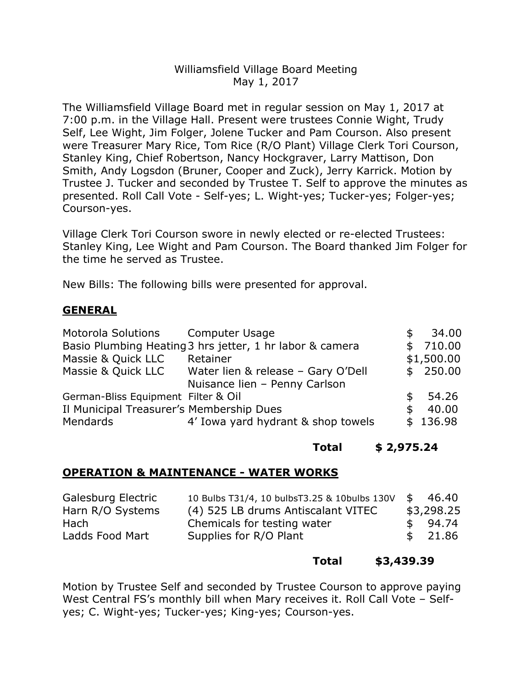# Williamsfield Village Board Meeting May 1, 2017

The Williamsfield Village Board met in regular session on May 1, 2017 at 7:00 p.m. in the Village Hall. Present were trustees Connie Wight, Trudy Self, Lee Wight, Jim Folger, Jolene Tucker and Pam Courson. Also present were Treasurer Mary Rice, Tom Rice (R/O Plant) Village Clerk Tori Courson, Stanley King, Chief Robertson, Nancy Hockgraver, Larry Mattison, Don Smith, Andy Logsdon (Bruner, Cooper and Zuck), Jerry Karrick. Motion by Trustee J. Tucker and seconded by Trustee T. Self to approve the minutes as presented. Roll Call Vote - Self-yes; L. Wight-yes; Tucker-yes; Folger-yes; Courson-yes.

Village Clerk Tori Courson swore in newly elected or re-elected Trustees: Stanley King, Lee Wight and Pam Courson. The Board thanked Jim Folger for the time he served as Trustee.

New Bills: The following bills were presented for approval.

# **GENERAL**

| Motorola Solutions Computer Usage        | Basio Plumbing Heating 3 hrs jetter, 1 hr labor & camera | \$<br>\$ | 34.00<br>710.00 |
|------------------------------------------|----------------------------------------------------------|----------|-----------------|
| Massie & Quick LLC                       | Retainer                                                 |          | \$1,500.00      |
| Massie & Quick LLC                       | Water lien & release - Gary O'Dell                       |          | \$250.00        |
|                                          | Nuisance lien - Penny Carlson                            |          |                 |
| German-Bliss Equipment Filter & Oil      |                                                          |          | 54.26           |
| Il Municipal Treasurer's Membership Dues |                                                          | S        | 40.00           |
| Mendards                                 | 4' Iowa yard hydrant & shop towels                       |          | \$136.98        |

### **Total \$ 2,975.24**

## **OPERATION & MAINTENANCE - WATER WORKS**

| Galesburg Electric | 10 Bulbs T31/4, 10 bulbs T3.25 & 10 bulbs 130 V \$ 46.40 |            |
|--------------------|----------------------------------------------------------|------------|
| Harn R/O Systems   | (4) 525 LB drums Antiscalant VITEC                       | \$3,298.25 |
| Hach               | Chemicals for testing water                              | \$94.74    |
| Ladds Food Mart    | Supplies for R/O Plant                                   | \$21.86    |

### **Total \$3,439.39**

Motion by Trustee Self and seconded by Trustee Courson to approve paying West Central FS's monthly bill when Mary receives it. Roll Call Vote – Selfyes; C. Wight-yes; Tucker-yes; King-yes; Courson-yes.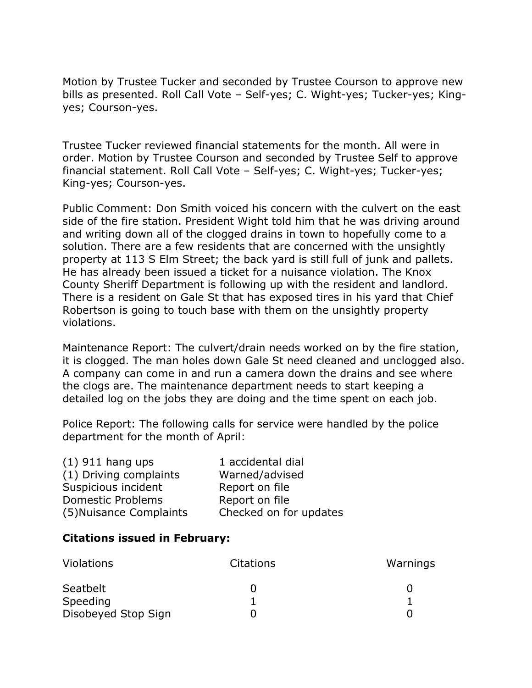Motion by Trustee Tucker and seconded by Trustee Courson to approve new bills as presented. Roll Call Vote – Self-yes; C. Wight-yes; Tucker-yes; Kingyes; Courson-yes.

Trustee Tucker reviewed financial statements for the month. All were in order. Motion by Trustee Courson and seconded by Trustee Self to approve financial statement. Roll Call Vote – Self-yes; C. Wight-yes; Tucker-yes; King-yes; Courson-yes.

Public Comment: Don Smith voiced his concern with the culvert on the east side of the fire station. President Wight told him that he was driving around and writing down all of the clogged drains in town to hopefully come to a solution. There are a few residents that are concerned with the unsightly property at 113 S Elm Street; the back yard is still full of junk and pallets. He has already been issued a ticket for a nuisance violation. The Knox County Sheriff Department is following up with the resident and landlord. There is a resident on Gale St that has exposed tires in his yard that Chief Robertson is going to touch base with them on the unsightly property violations.

Maintenance Report: The culvert/drain needs worked on by the fire station, it is clogged. The man holes down Gale St need cleaned and unclogged also. A company can come in and run a camera down the drains and see where the clogs are. The maintenance department needs to start keeping a detailed log on the jobs they are doing and the time spent on each job.

Police Report: The following calls for service were handled by the police department for the month of April:

| 1 accidental dial      |
|------------------------|
| Warned/advised         |
| Report on file         |
| Report on file         |
| Checked on for updates |
|                        |

### **Citations issued in February:**

| <b>Violations</b>   | <b>Citations</b> | Warnings |  |
|---------------------|------------------|----------|--|
| Seatbelt            |                  |          |  |
| Speeding            |                  |          |  |
| Disobeyed Stop Sign |                  |          |  |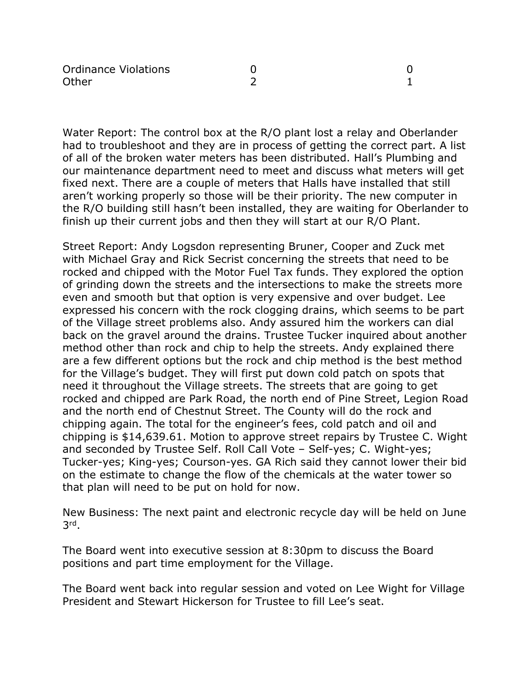| <b>Ordinance Violations</b> |  |
|-----------------------------|--|
| Other                       |  |

Water Report: The control box at the R/O plant lost a relay and Oberlander had to troubleshoot and they are in process of getting the correct part. A list of all of the broken water meters has been distributed. Hall's Plumbing and our maintenance department need to meet and discuss what meters will get fixed next. There are a couple of meters that Halls have installed that still aren't working properly so those will be their priority. The new computer in the R/O building still hasn't been installed, they are waiting for Oberlander to finish up their current jobs and then they will start at our R/O Plant.

Street Report: Andy Logsdon representing Bruner, Cooper and Zuck met with Michael Gray and Rick Secrist concerning the streets that need to be rocked and chipped with the Motor Fuel Tax funds. They explored the option of grinding down the streets and the intersections to make the streets more even and smooth but that option is very expensive and over budget. Lee expressed his concern with the rock clogging drains, which seems to be part of the Village street problems also. Andy assured him the workers can dial back on the gravel around the drains. Trustee Tucker inquired about another method other than rock and chip to help the streets. Andy explained there are a few different options but the rock and chip method is the best method for the Village's budget. They will first put down cold patch on spots that need it throughout the Village streets. The streets that are going to get rocked and chipped are Park Road, the north end of Pine Street, Legion Road and the north end of Chestnut Street. The County will do the rock and chipping again. The total for the engineer's fees, cold patch and oil and chipping is \$14,639.61. Motion to approve street repairs by Trustee C. Wight and seconded by Trustee Self. Roll Call Vote – Self-yes; C. Wight-yes; Tucker-yes; King-yes; Courson-yes. GA Rich said they cannot lower their bid on the estimate to change the flow of the chemicals at the water tower so that plan will need to be put on hold for now.

New Business: The next paint and electronic recycle day will be held on June 3rd.

The Board went into executive session at 8:30pm to discuss the Board positions and part time employment for the Village.

The Board went back into regular session and voted on Lee Wight for Village President and Stewart Hickerson for Trustee to fill Lee's seat.